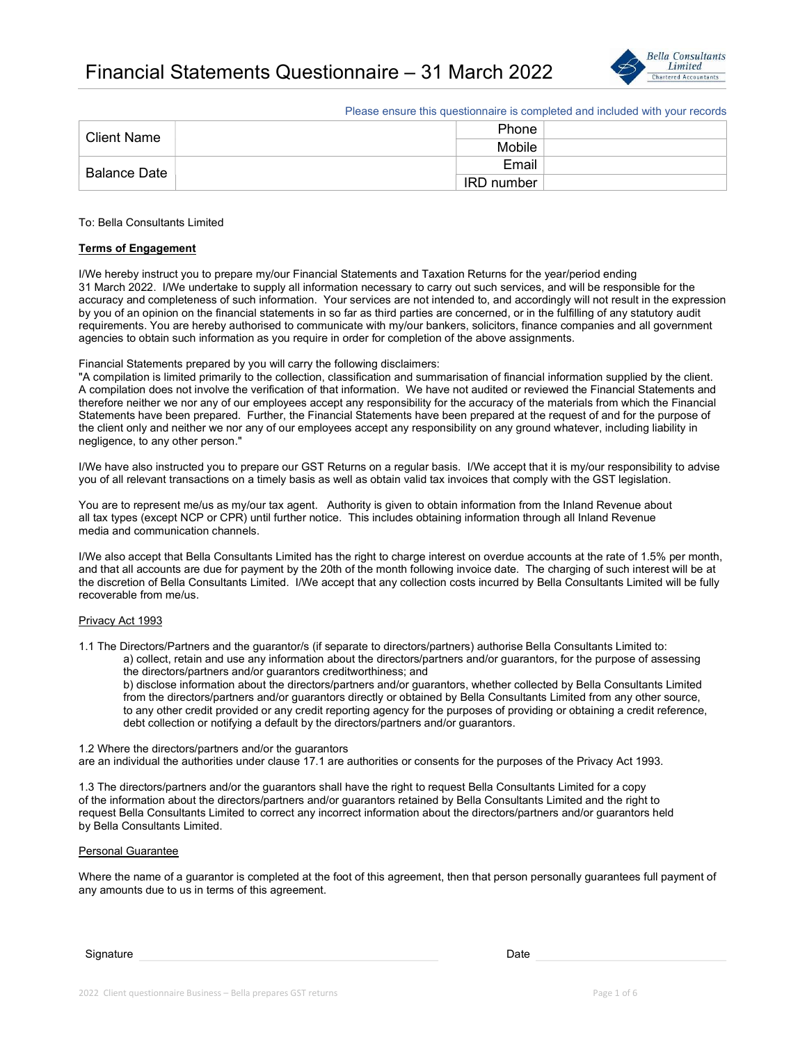

Please ensure this questionnaire is completed and included with your records

| <b>Client Name</b> | Phone             |  |
|--------------------|-------------------|--|
|                    | Mobile            |  |
| Balance Date       | Email             |  |
|                    | <b>IRD</b> number |  |

### To: Bella Consultants Limited

## Terms of Engagement

I/We hereby instruct you to prepare my/our Financial Statements and Taxation Returns for the year/period ending 31 March 2022. I/We undertake to supply all information necessary to carry out such services, and will be responsible for the accuracy and completeness of such information. Your services are not intended to, and accordingly will not result in the expression by you of an opinion on the financial statements in so far as third parties are concerned, or in the fulfilling of any statutory audit requirements. You are hereby authorised to communicate with my/our bankers, solicitors, finance companies and all government agencies to obtain such information as you require in order for completion of the above assignments.

### Financial Statements prepared by you will carry the following disclaimers:

"A compilation is limited primarily to the collection, classification and summarisation of financial information supplied by the client. A compilation does not involve the verification of that information. We have not audited or reviewed the Financial Statements and therefore neither we nor any of our employees accept any responsibility for the accuracy of the materials from which the Financial Statements have been prepared. Further, the Financial Statements have been prepared at the request of and for the purpose of the client only and neither we nor any of our employees accept any responsibility on any ground whatever, including liability in negligence, to any other person."

I/We have also instructed you to prepare our GST Returns on a regular basis. I/We accept that it is my/our responsibility to advise you of all relevant transactions on a timely basis as well as obtain valid tax invoices that comply with the GST legislation.

You are to represent me/us as my/our tax agent. Authority is given to obtain information from the Inland Revenue about all tax types (except NCP or CPR) until further notice. This includes obtaining information through all Inland Revenue media and communication channels.

I/We also accept that Bella Consultants Limited has the right to charge interest on overdue accounts at the rate of 1.5% per month, and that all accounts are due for payment by the 20th of the month following invoice date. The charging of such interest will be at the discretion of Bella Consultants Limited. I/We accept that any collection costs incurred by Bella Consultants Limited will be fully recoverable from me/us.

## Privacy Act 1993

1.1 The Directors/Partners and the guarantor/s (if separate to directors/partners) authorise Bella Consultants Limited to: a) collect, retain and use any information about the directors/partners and/or guarantors, for the purpose of assessing the directors/partners and/or guarantors creditworthiness; and

 b) disclose information about the directors/partners and/or guarantors, whether collected by Bella Consultants Limited from the directors/partners and/or guarantors directly or obtained by Bella Consultants Limited from any other source, to any other credit provided or any credit reporting agency for the purposes of providing or obtaining a credit reference, debt collection or notifying a default by the directors/partners and/or guarantors.

#### 1.2 Where the directors/partners and/or the guarantors

are an individual the authorities under clause 17.1 are authorities or consents for the purposes of the Privacy Act 1993.

1.3 The directors/partners and/or the guarantors shall have the right to request Bella Consultants Limited for a copy of the information about the directors/partners and/or guarantors retained by Bella Consultants Limited and the right to request Bella Consultants Limited to correct any incorrect information about the directors/partners and/or guarantors held by Bella Consultants Limited.

#### Personal Guarantee

Where the name of a guarantor is completed at the foot of this agreement, then that person personally guarantees full payment of any amounts due to us in terms of this agreement.

Signature Date (2001) and Date (2002) and Date (2003) and Date (2003) and Date (2003) and Date (2003) and Date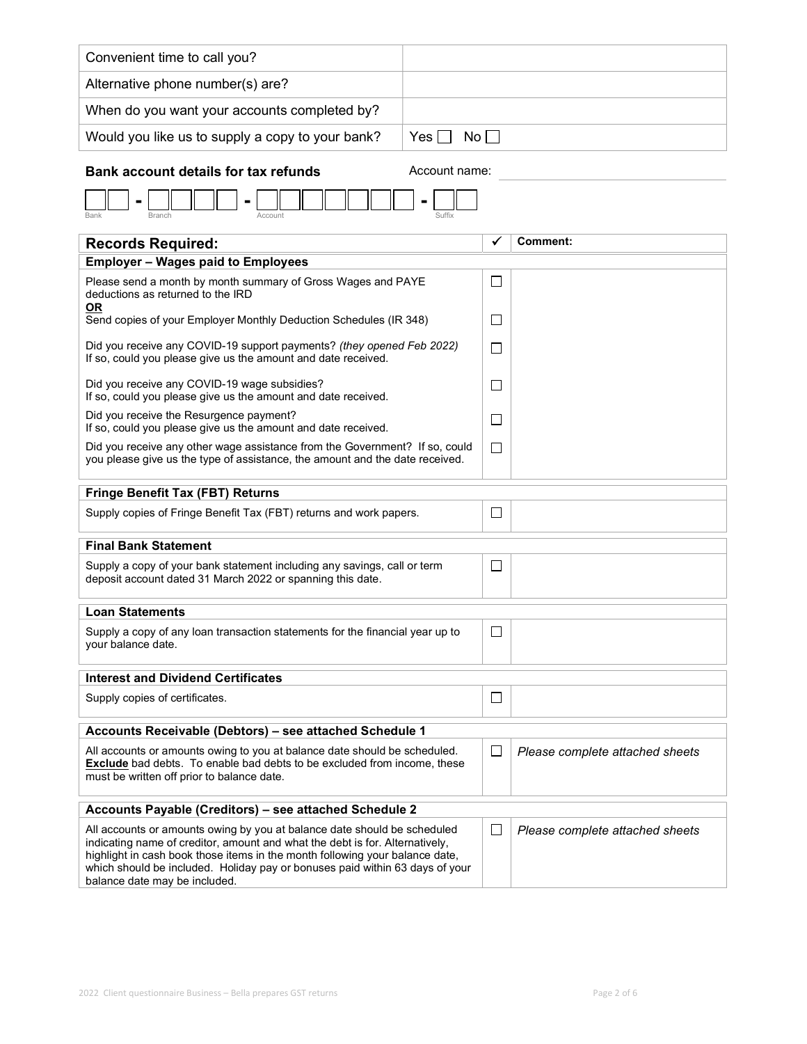| Convenient time to call you?                                                                                                                                                                                                                                                                                                                              |               |        |                                 |  |  |
|-----------------------------------------------------------------------------------------------------------------------------------------------------------------------------------------------------------------------------------------------------------------------------------------------------------------------------------------------------------|---------------|--------|---------------------------------|--|--|
| Alternative phone number(s) are?                                                                                                                                                                                                                                                                                                                          |               |        |                                 |  |  |
| When do you want your accounts completed by?                                                                                                                                                                                                                                                                                                              |               |        |                                 |  |  |
| Would you like us to supply a copy to your bank?                                                                                                                                                                                                                                                                                                          | No<br>Yes II  |        |                                 |  |  |
|                                                                                                                                                                                                                                                                                                                                                           |               |        |                                 |  |  |
| <b>Bank account details for tax refunds</b>                                                                                                                                                                                                                                                                                                               | Account name: |        |                                 |  |  |
| Bank<br>Branch<br>Account<br>Suffix                                                                                                                                                                                                                                                                                                                       |               |        |                                 |  |  |
| <b>Records Required:</b>                                                                                                                                                                                                                                                                                                                                  |               |        | <b>Comment:</b>                 |  |  |
| <b>Employer - Wages paid to Employees</b>                                                                                                                                                                                                                                                                                                                 |               |        |                                 |  |  |
| Please send a month by month summary of Gross Wages and PAYE<br>deductions as returned to the IRD                                                                                                                                                                                                                                                         |               | ⊔      |                                 |  |  |
| <b>OR</b><br>Send copies of your Employer Monthly Deduction Schedules (IR 348)                                                                                                                                                                                                                                                                            |               | $\Box$ |                                 |  |  |
| Did you receive any COVID-19 support payments? (they opened Feb 2022)<br>If so, could you please give us the amount and date received.                                                                                                                                                                                                                    |               | $\Box$ |                                 |  |  |
| Did you receive any COVID-19 wage subsidies?<br>If so, could you please give us the amount and date received.                                                                                                                                                                                                                                             |               |        |                                 |  |  |
| Did you receive the Resurgence payment?<br>If so, could you please give us the amount and date received.                                                                                                                                                                                                                                                  |               | $\Box$ |                                 |  |  |
| Did you receive any other wage assistance from the Government? If so, could<br>you please give us the type of assistance, the amount and the date received.                                                                                                                                                                                               |               |        |                                 |  |  |
| <b>Fringe Benefit Tax (FBT) Returns</b>                                                                                                                                                                                                                                                                                                                   |               |        |                                 |  |  |
| Supply copies of Fringe Benefit Tax (FBT) returns and work papers.                                                                                                                                                                                                                                                                                        | $\Box$        |        |                                 |  |  |
| <b>Final Bank Statement</b>                                                                                                                                                                                                                                                                                                                               |               |        |                                 |  |  |
| Supply a copy of your bank statement including any savings, call or term<br>deposit account dated 31 March 2022 or spanning this date.                                                                                                                                                                                                                    |               |        |                                 |  |  |
| <b>Loan Statements</b>                                                                                                                                                                                                                                                                                                                                    |               |        |                                 |  |  |
| Supply a copy of any loan transaction statements for the financial year up to<br>your balance date.                                                                                                                                                                                                                                                       |               |        |                                 |  |  |
| <b>Interest and Dividend Certificates</b>                                                                                                                                                                                                                                                                                                                 |               |        |                                 |  |  |
| Supply copies of certificates.                                                                                                                                                                                                                                                                                                                            |               | ⊔      |                                 |  |  |
| Accounts Receivable (Debtors) - see attached Schedule 1                                                                                                                                                                                                                                                                                                   |               |        |                                 |  |  |
| All accounts or amounts owing to you at balance date should be scheduled.<br><b>Exclude</b> bad debts. To enable bad debts to be excluded from income, these<br>must be written off prior to balance date.                                                                                                                                                |               | $\Box$ | Please complete attached sheets |  |  |
| Accounts Payable (Creditors) - see attached Schedule 2                                                                                                                                                                                                                                                                                                    |               |        |                                 |  |  |
| All accounts or amounts owing by you at balance date should be scheduled<br>indicating name of creditor, amount and what the debt is for. Alternatively,<br>highlight in cash book those items in the month following your balance date,<br>which should be included. Holiday pay or bonuses paid within 63 days of your<br>balance date may be included. |               |        | Please complete attached sheets |  |  |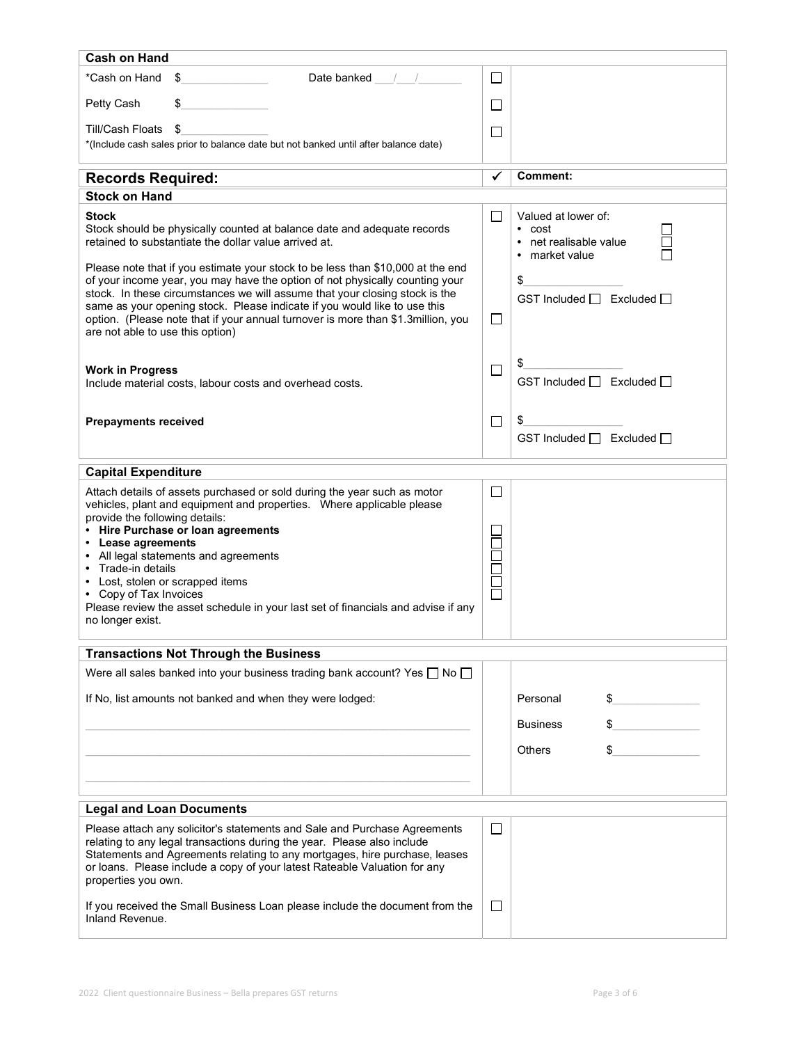| <b>Cash on Hand</b>                                                                                                                                                                                                                                                                                                                                                                                                                                                                    |                                                                  |                                                                                 |
|----------------------------------------------------------------------------------------------------------------------------------------------------------------------------------------------------------------------------------------------------------------------------------------------------------------------------------------------------------------------------------------------------------------------------------------------------------------------------------------|------------------------------------------------------------------|---------------------------------------------------------------------------------|
| *Cash on Hand<br>\$<br>Date banked / /                                                                                                                                                                                                                                                                                                                                                                                                                                                 | $\Box$                                                           |                                                                                 |
| Petty Cash                                                                                                                                                                                                                                                                                                                                                                                                                                                                             | $\Box$                                                           |                                                                                 |
| Till/Cash Floats<br>\$<br>*(Include cash sales prior to balance date but not banked until after balance date)                                                                                                                                                                                                                                                                                                                                                                          | $\mathsf{L}$                                                     |                                                                                 |
| <b>Records Required:</b>                                                                                                                                                                                                                                                                                                                                                                                                                                                               | ✓                                                                | <b>Comment:</b>                                                                 |
| <b>Stock on Hand</b>                                                                                                                                                                                                                                                                                                                                                                                                                                                                   |                                                                  |                                                                                 |
| Stock<br>Stock should be physically counted at balance date and adequate records<br>retained to substantiate the dollar value arrived at.                                                                                                                                                                                                                                                                                                                                              | $\Box$                                                           | Valued at lower of:<br>$\cdot$ cost<br>• net realisable value<br>• market value |
| Please note that if you estimate your stock to be less than \$10,000 at the end<br>of your income year, you may have the option of not physically counting your<br>stock. In these circumstances we will assume that your closing stock is the<br>same as your opening stock. Please indicate if you would like to use this<br>option. (Please note that if your annual turnover is more than \$1.3million, you                                                                        | $\Box$                                                           | \$<br>GST Included $\Box$ Excluded $\Box$                                       |
| are not able to use this option)                                                                                                                                                                                                                                                                                                                                                                                                                                                       |                                                                  |                                                                                 |
| <b>Work in Progress</b><br>Include material costs, labour costs and overhead costs.                                                                                                                                                                                                                                                                                                                                                                                                    | □                                                                | \$<br>GST Included □ Excluded □                                                 |
| <b>Prepayments received</b>                                                                                                                                                                                                                                                                                                                                                                                                                                                            | $\Box$                                                           | \$<br>GST Included □ Excluded □                                                 |
| <b>Capital Expenditure</b>                                                                                                                                                                                                                                                                                                                                                                                                                                                             |                                                                  |                                                                                 |
| Attach details of assets purchased or sold during the year such as motor<br>vehicles, plant and equipment and properties.  Where applicable please<br>provide the following details:<br>• Hire Purchase or loan agreements<br>• Lease agreements<br>• All legal statements and agreements<br>• Trade-in details<br>• Lost, stolen or scrapped items<br>• Copy of Tax Invoices<br>Please review the asset schedule in your last set of financials and advise if any<br>no longer exist. | $\Box$<br>$\overline{\phantom{a}}$<br>$\Box$<br>1<br>1<br>1<br>1 |                                                                                 |
| <b>Transactions Not Through the Business</b>                                                                                                                                                                                                                                                                                                                                                                                                                                           |                                                                  |                                                                                 |
| Were all sales banked into your business trading bank account? Yes □ No □                                                                                                                                                                                                                                                                                                                                                                                                              |                                                                  |                                                                                 |
| If No, list amounts not banked and when they were lodged:                                                                                                                                                                                                                                                                                                                                                                                                                              |                                                                  | Personal<br>\$                                                                  |
|                                                                                                                                                                                                                                                                                                                                                                                                                                                                                        |                                                                  | <b>Business</b>                                                                 |
|                                                                                                                                                                                                                                                                                                                                                                                                                                                                                        |                                                                  | <b>Others</b><br>\$                                                             |
|                                                                                                                                                                                                                                                                                                                                                                                                                                                                                        |                                                                  |                                                                                 |
| <b>Legal and Loan Documents</b>                                                                                                                                                                                                                                                                                                                                                                                                                                                        |                                                                  |                                                                                 |
| Please attach any solicitor's statements and Sale and Purchase Agreements<br>relating to any legal transactions during the year. Please also include<br>Statements and Agreements relating to any mortgages, hire purchase, leases<br>or loans. Please include a copy of your latest Rateable Valuation for any<br>properties you own.                                                                                                                                                 | $\Box$                                                           |                                                                                 |
| If you received the Small Business Loan please include the document from the<br>Inland Revenue.                                                                                                                                                                                                                                                                                                                                                                                        | $\Box$                                                           |                                                                                 |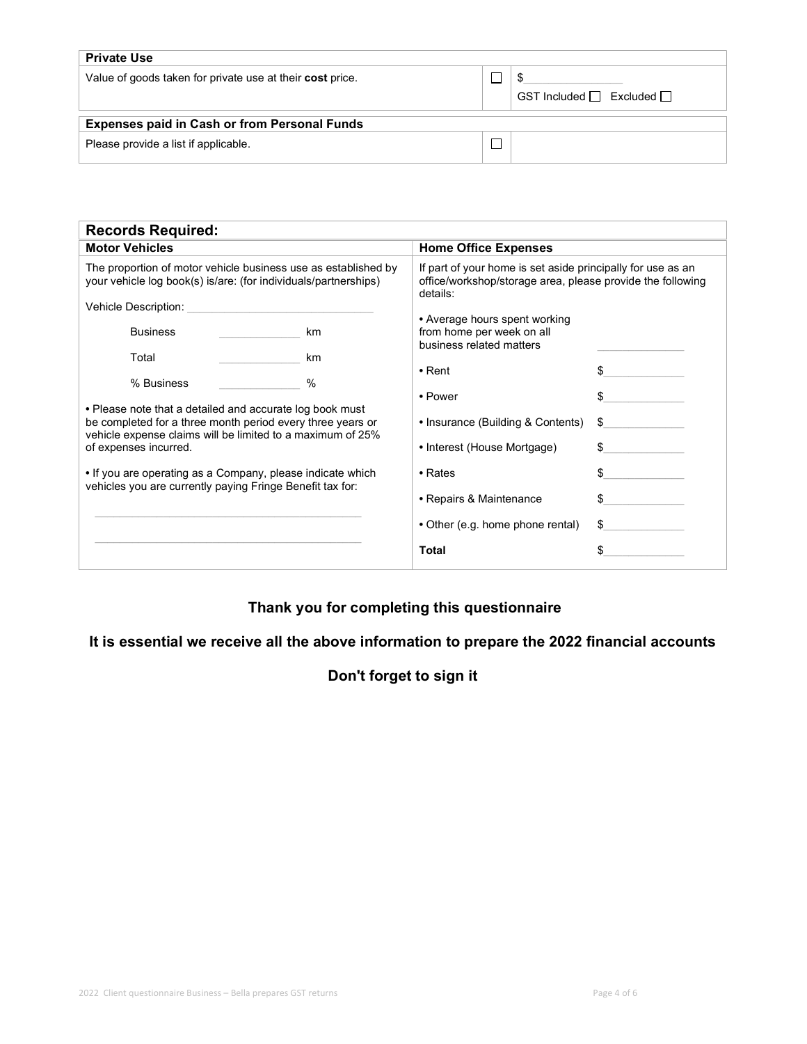| <b>Private Use</b>                                        |  |                                     |  |  |  |  |
|-----------------------------------------------------------|--|-------------------------------------|--|--|--|--|
| Value of goods taken for private use at their cost price. |  | GST Included $\Box$ Excluded $\Box$ |  |  |  |  |
| <b>Expenses paid in Cash or from Personal Funds</b>       |  |                                     |  |  |  |  |
| Please provide a list if applicable.                      |  |                                     |  |  |  |  |

| <b>Records Required:</b>                                                                                                                                                                                                                                                                                                                 |            |                                                                                                                                       |                            |  |  |  |
|------------------------------------------------------------------------------------------------------------------------------------------------------------------------------------------------------------------------------------------------------------------------------------------------------------------------------------------|------------|---------------------------------------------------------------------------------------------------------------------------------------|----------------------------|--|--|--|
| <b>Motor Vehicles</b>                                                                                                                                                                                                                                                                                                                    |            | <b>Home Office Expenses</b>                                                                                                           |                            |  |  |  |
| The proportion of motor vehicle business use as established by<br>your vehicle log book(s) is/are: (for individuals/partnerships)<br>Vehicle Description:                                                                                                                                                                                |            | If part of your home is set aside principally for use as an<br>office/workshop/storage area, please provide the following<br>details: |                            |  |  |  |
| <b>Business</b>                                                                                                                                                                                                                                                                                                                          | km         | • Average hours spent working<br>from home per week on all<br>business related matters                                                |                            |  |  |  |
| Total<br>% Business                                                                                                                                                                                                                                                                                                                      | km<br>$\%$ | $\bullet$ Rent                                                                                                                        | \$                         |  |  |  |
| • Please note that a detailed and accurate log book must<br>be completed for a three month period every three years or<br>vehicle expense claims will be limited to a maximum of 25%<br>of expenses incurred.<br>. If you are operating as a Company, please indicate which<br>vehicles you are currently paying Fringe Benefit tax for: |            | • Power<br>• Insurance (Building & Contents)<br>• Interest (House Mortgage)<br>$\cdot$ Rates<br>• Repairs & Maintenance               | \$<br>\$<br>\$<br>\$<br>\$ |  |  |  |
|                                                                                                                                                                                                                                                                                                                                          |            | • Other (e.g. home phone rental)<br><b>Total</b>                                                                                      | \$<br>\$                   |  |  |  |

# Thank you for completing this questionnaire

# It is essential we receive all the above information to prepare the 2022 financial accounts

## Don't forget to sign it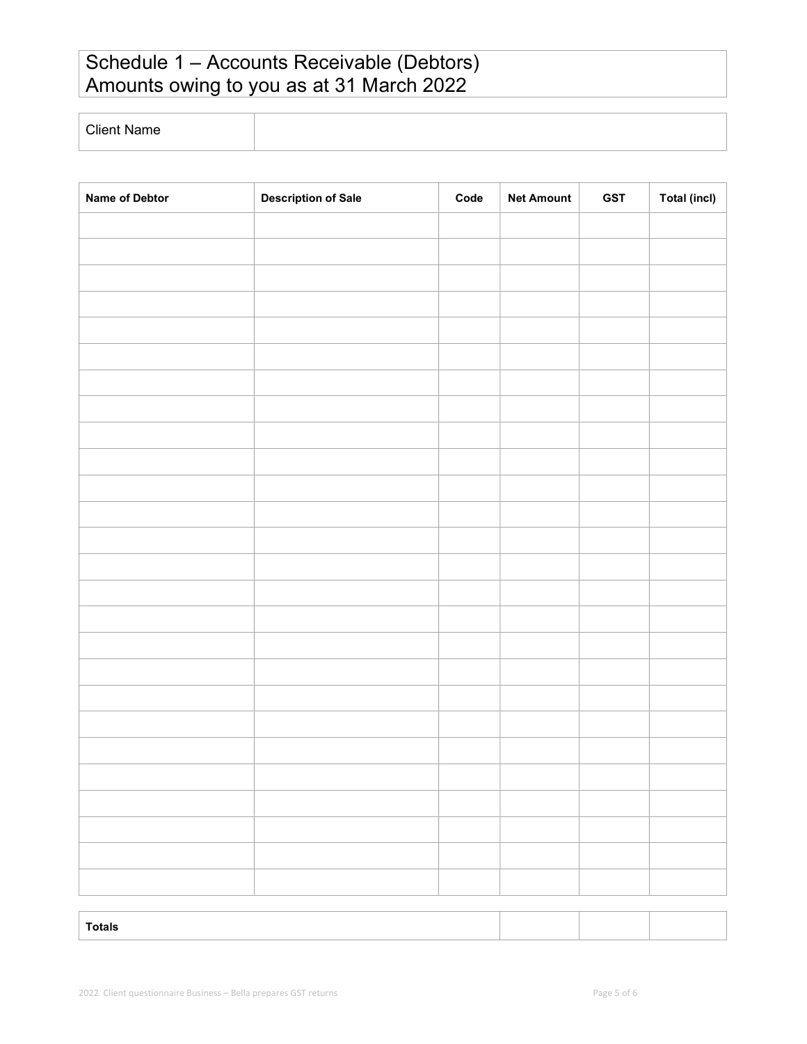# Schedule 1 – Accounts Receivable (Debtors) Amounts owing to you as at 31 March 2022

Client Name

| Name of Debtor | <b>Description of Sale</b> | $\mathsf{Code}$ | <b>Net Amount</b> | <b>GST</b> | <b>Total (incl)</b> |
|----------------|----------------------------|-----------------|-------------------|------------|---------------------|
|                |                            |                 |                   |            |                     |
|                |                            |                 |                   |            |                     |
|                |                            |                 |                   |            |                     |
|                |                            |                 |                   |            |                     |
|                |                            |                 |                   |            |                     |
|                |                            |                 |                   |            |                     |
|                |                            |                 |                   |            |                     |
|                |                            |                 |                   |            |                     |
|                |                            |                 |                   |            |                     |
|                |                            |                 |                   |            |                     |
|                |                            |                 |                   |            |                     |
|                |                            |                 |                   |            |                     |
|                |                            |                 |                   |            |                     |
|                |                            |                 |                   |            |                     |
|                |                            |                 |                   |            |                     |
|                |                            |                 |                   |            |                     |
|                |                            |                 |                   |            |                     |
|                |                            |                 |                   |            |                     |
|                |                            |                 |                   |            |                     |
|                |                            |                 |                   |            |                     |
|                |                            |                 |                   |            |                     |
|                |                            |                 |                   |            |                     |
|                |                            |                 |                   |            |                     |
|                |                            |                 |                   |            |                     |
|                |                            |                 |                   |            |                     |
|                |                            |                 |                   |            |                     |
|                |                            |                 |                   |            |                     |

Totals